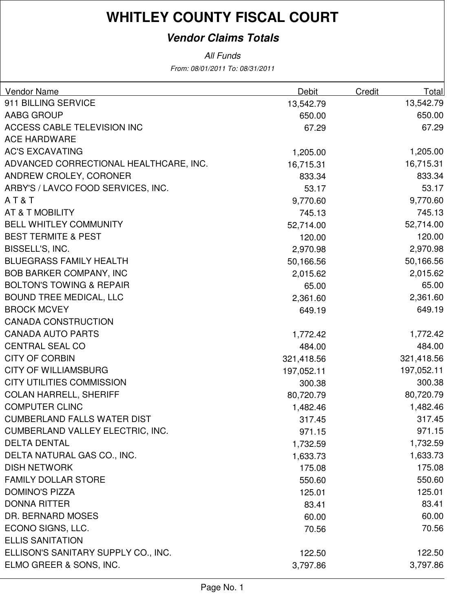### **Vendor Claims Totals**

From: 08/01/2011 To: 08/31/2011 All Funds

| 911 BILLING SERVICE<br>13,542.79<br>13,542.79<br><b>AABG GROUP</b><br>650.00<br>650.00<br>67.29<br>ACCESS CABLE TELEVISION INC<br>67.29<br><b>ACE HARDWARE</b><br><b>AC'S EXCAVATING</b><br>1,205.00<br>1,205.00<br>ADVANCED CORRECTIONAL HEALTHCARE, INC.<br>16,715.31<br>16,715.31<br>ANDREW CROLEY, CORONER<br>833.34<br>833.34<br>ARBY'S / LAVCO FOOD SERVICES, INC.<br>53.17<br>9,770.60<br>AT&T<br>9,770.60<br><b>AT &amp; T MOBILITY</b><br>745.13<br>745.13<br><b>BELL WHITLEY COMMUNITY</b><br>52,714.00<br>52,714.00<br><b>BEST TERMITE &amp; PEST</b><br>120.00<br>120.00<br>BISSELL'S, INC.<br>2,970.98<br>2,970.98<br><b>BLUEGRASS FAMILY HEALTH</b><br>50,166.56<br>50,166.56 | <b>Vendor Name</b> | Debit | <b>Credit</b> | Total |
|---------------------------------------------------------------------------------------------------------------------------------------------------------------------------------------------------------------------------------------------------------------------------------------------------------------------------------------------------------------------------------------------------------------------------------------------------------------------------------------------------------------------------------------------------------------------------------------------------------------------------------------------------------------------------------------------|--------------------|-------|---------------|-------|
| 53.17                                                                                                                                                                                                                                                                                                                                                                                                                                                                                                                                                                                                                                                                                       |                    |       |               |       |
|                                                                                                                                                                                                                                                                                                                                                                                                                                                                                                                                                                                                                                                                                             |                    |       |               |       |
|                                                                                                                                                                                                                                                                                                                                                                                                                                                                                                                                                                                                                                                                                             |                    |       |               |       |
|                                                                                                                                                                                                                                                                                                                                                                                                                                                                                                                                                                                                                                                                                             |                    |       |               |       |
|                                                                                                                                                                                                                                                                                                                                                                                                                                                                                                                                                                                                                                                                                             |                    |       |               |       |
|                                                                                                                                                                                                                                                                                                                                                                                                                                                                                                                                                                                                                                                                                             |                    |       |               |       |
|                                                                                                                                                                                                                                                                                                                                                                                                                                                                                                                                                                                                                                                                                             |                    |       |               |       |
|                                                                                                                                                                                                                                                                                                                                                                                                                                                                                                                                                                                                                                                                                             |                    |       |               |       |
|                                                                                                                                                                                                                                                                                                                                                                                                                                                                                                                                                                                                                                                                                             |                    |       |               |       |
|                                                                                                                                                                                                                                                                                                                                                                                                                                                                                                                                                                                                                                                                                             |                    |       |               |       |
|                                                                                                                                                                                                                                                                                                                                                                                                                                                                                                                                                                                                                                                                                             |                    |       |               |       |
|                                                                                                                                                                                                                                                                                                                                                                                                                                                                                                                                                                                                                                                                                             |                    |       |               |       |
|                                                                                                                                                                                                                                                                                                                                                                                                                                                                                                                                                                                                                                                                                             |                    |       |               |       |
|                                                                                                                                                                                                                                                                                                                                                                                                                                                                                                                                                                                                                                                                                             |                    |       |               |       |
| <b>BOB BARKER COMPANY, INC</b><br>2,015.62<br>2,015.62                                                                                                                                                                                                                                                                                                                                                                                                                                                                                                                                                                                                                                      |                    |       |               |       |
| 65.00<br><b>BOLTON'S TOWING &amp; REPAIR</b><br>65.00                                                                                                                                                                                                                                                                                                                                                                                                                                                                                                                                                                                                                                       |                    |       |               |       |
| 2,361.60<br><b>BOUND TREE MEDICAL, LLC</b><br>2,361.60                                                                                                                                                                                                                                                                                                                                                                                                                                                                                                                                                                                                                                      |                    |       |               |       |
| 649.19<br><b>BROCK MCVEY</b><br>649.19                                                                                                                                                                                                                                                                                                                                                                                                                                                                                                                                                                                                                                                      |                    |       |               |       |
| <b>CANADA CONSTRUCTION</b>                                                                                                                                                                                                                                                                                                                                                                                                                                                                                                                                                                                                                                                                  |                    |       |               |       |
| <b>CANADA AUTO PARTS</b><br>1,772.42<br>1,772.42                                                                                                                                                                                                                                                                                                                                                                                                                                                                                                                                                                                                                                            |                    |       |               |       |
| 484.00<br><b>CENTRAL SEAL CO</b><br>484.00                                                                                                                                                                                                                                                                                                                                                                                                                                                                                                                                                                                                                                                  |                    |       |               |       |
| <b>CITY OF CORBIN</b><br>321,418.56<br>321,418.56                                                                                                                                                                                                                                                                                                                                                                                                                                                                                                                                                                                                                                           |                    |       |               |       |
| <b>CITY OF WILLIAMSBURG</b><br>197,052.11<br>197,052.11                                                                                                                                                                                                                                                                                                                                                                                                                                                                                                                                                                                                                                     |                    |       |               |       |
| <b>CITY UTILITIES COMMISSION</b><br>300.38<br>300.38                                                                                                                                                                                                                                                                                                                                                                                                                                                                                                                                                                                                                                        |                    |       |               |       |
| <b>COLAN HARRELL, SHERIFF</b><br>80,720.79<br>80,720.79                                                                                                                                                                                                                                                                                                                                                                                                                                                                                                                                                                                                                                     |                    |       |               |       |
| <b>COMPUTER CLINC</b><br>1,482.46<br>1,482.46                                                                                                                                                                                                                                                                                                                                                                                                                                                                                                                                                                                                                                               |                    |       |               |       |
| 317.45<br><b>CUMBERLAND FALLS WATER DIST</b><br>317.45                                                                                                                                                                                                                                                                                                                                                                                                                                                                                                                                                                                                                                      |                    |       |               |       |
| CUMBERLAND VALLEY ELECTRIC, INC.<br>971.15<br>971.15                                                                                                                                                                                                                                                                                                                                                                                                                                                                                                                                                                                                                                        |                    |       |               |       |
| <b>DELTA DENTAL</b><br>1,732.59<br>1,732.59                                                                                                                                                                                                                                                                                                                                                                                                                                                                                                                                                                                                                                                 |                    |       |               |       |
| DELTA NATURAL GAS CO., INC.<br>1,633.73<br>1,633.73                                                                                                                                                                                                                                                                                                                                                                                                                                                                                                                                                                                                                                         |                    |       |               |       |
| <b>DISH NETWORK</b><br>175.08<br>175.08                                                                                                                                                                                                                                                                                                                                                                                                                                                                                                                                                                                                                                                     |                    |       |               |       |
| <b>FAMILY DOLLAR STORE</b><br>550.60<br>550.60                                                                                                                                                                                                                                                                                                                                                                                                                                                                                                                                                                                                                                              |                    |       |               |       |
| <b>DOMINO'S PIZZA</b><br>125.01<br>125.01                                                                                                                                                                                                                                                                                                                                                                                                                                                                                                                                                                                                                                                   |                    |       |               |       |
| <b>DONNA RITTER</b><br>83.41<br>83.41                                                                                                                                                                                                                                                                                                                                                                                                                                                                                                                                                                                                                                                       |                    |       |               |       |
| DR. BERNARD MOSES<br>60.00<br>60.00                                                                                                                                                                                                                                                                                                                                                                                                                                                                                                                                                                                                                                                         |                    |       |               |       |
| ECONO SIGNS, LLC.<br>70.56<br>70.56                                                                                                                                                                                                                                                                                                                                                                                                                                                                                                                                                                                                                                                         |                    |       |               |       |
| <b>ELLIS SANITATION</b>                                                                                                                                                                                                                                                                                                                                                                                                                                                                                                                                                                                                                                                                     |                    |       |               |       |
| ELLISON'S SANITARY SUPPLY CO., INC.<br>122.50<br>122.50                                                                                                                                                                                                                                                                                                                                                                                                                                                                                                                                                                                                                                     |                    |       |               |       |
| ELMO GREER & SONS, INC.<br>3,797.86<br>3,797.86                                                                                                                                                                                                                                                                                                                                                                                                                                                                                                                                                                                                                                             |                    |       |               |       |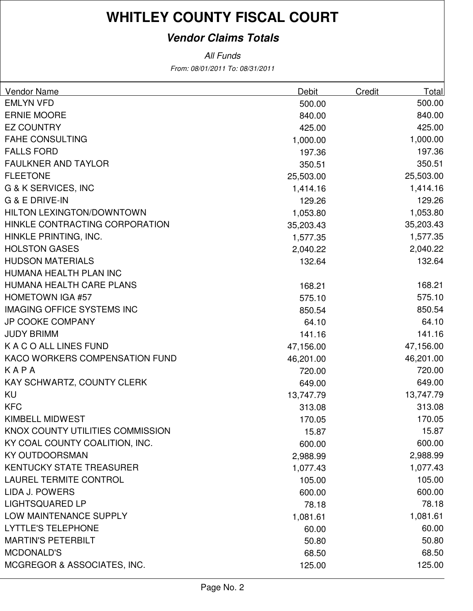### **Vendor Claims Totals**

From: 08/01/2011 To: 08/31/2011 All Funds

| <b>Vendor Name</b>                | Debit     | Credit | <b>Total</b> |
|-----------------------------------|-----------|--------|--------------|
| <b>EMLYN VFD</b>                  | 500.00    |        | 500.00       |
| <b>ERNIE MOORE</b>                | 840.00    |        | 840.00       |
| <b>EZ COUNTRY</b>                 | 425.00    |        | 425.00       |
| <b>FAHE CONSULTING</b>            | 1,000.00  |        | 1,000.00     |
| <b>FALLS FORD</b>                 | 197.36    |        | 197.36       |
| <b>FAULKNER AND TAYLOR</b>        | 350.51    |        | 350.51       |
| <b>FLEETONE</b>                   | 25,503.00 |        | 25,503.00    |
| G & K SERVICES, INC               | 1,414.16  |        | 1,414.16     |
| G & E DRIVE-IN                    | 129.26    |        | 129.26       |
| <b>HILTON LEXINGTON/DOWNTOWN</b>  | 1,053.80  |        | 1,053.80     |
| HINKLE CONTRACTING CORPORATION    | 35,203.43 |        | 35,203.43    |
| HINKLE PRINTING, INC.             | 1,577.35  |        | 1,577.35     |
| <b>HOLSTON GASES</b>              | 2,040.22  |        | 2,040.22     |
| <b>HUDSON MATERIALS</b>           | 132.64    |        | 132.64       |
| HUMANA HEALTH PLAN INC            |           |        |              |
| HUMANA HEALTH CARE PLANS          | 168.21    |        | 168.21       |
| <b>HOMETOWN IGA #57</b>           | 575.10    |        | 575.10       |
| <b>IMAGING OFFICE SYSTEMS INC</b> | 850.54    |        | 850.54       |
| <b>JP COOKE COMPANY</b>           | 64.10     |        | 64.10        |
| <b>JUDY BRIMM</b>                 | 141.16    |        | 141.16       |
| K A C O ALL LINES FUND            | 47,156.00 |        | 47,156.00    |
| KACO WORKERS COMPENSATION FUND    | 46,201.00 |        | 46,201.00    |
| KAPA                              | 720.00    |        | 720.00       |
| KAY SCHWARTZ, COUNTY CLERK        | 649.00    |        | 649.00       |
| KU                                | 13,747.79 |        | 13,747.79    |
| <b>KFC</b>                        | 313.08    |        | 313.08       |
| <b>KIMBELL MIDWEST</b>            | 170.05    |        | 170.05       |
| KNOX COUNTY UTILITIES COMMISSION  | 15.87     |        | 15.87        |
| KY COAL COUNTY COALITION, INC.    | 600.00    |        | 600.00       |
| <b>KY OUTDOORSMAN</b>             | 2,988.99  |        | 2,988.99     |
| KENTUCKY STATE TREASURER          | 1,077.43  |        | 1,077.43     |
| <b>LAUREL TERMITE CONTROL</b>     | 105.00    |        | 105.00       |
| <b>LIDA J. POWERS</b>             | 600.00    |        | 600.00       |
| <b>LIGHTSQUARED LP</b>            | 78.18     |        | 78.18        |
| LOW MAINTENANCE SUPPLY            | 1,081.61  |        | 1,081.61     |
| <b>LYTTLE'S TELEPHONE</b>         | 60.00     |        | 60.00        |
| <b>MARTIN'S PETERBILT</b>         | 50.80     |        | 50.80        |
| <b>MCDONALD'S</b>                 | 68.50     |        | 68.50        |
| MCGREGOR & ASSOCIATES, INC.       | 125.00    |        | 125.00       |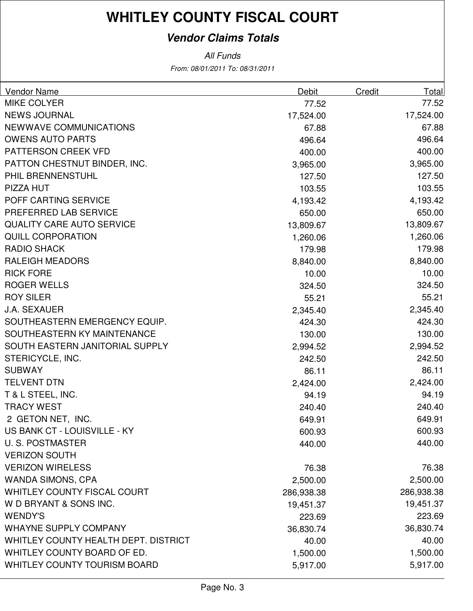### **Vendor Claims Totals**

From: 08/01/2011 To: 08/31/2011 All Funds

| <b>Vendor Name</b>                   | <b>Debit</b> | Credit | Total      |
|--------------------------------------|--------------|--------|------------|
| <b>MIKE COLYER</b>                   | 77.52        |        | 77.52      |
| <b>NEWS JOURNAL</b>                  | 17,524.00    |        | 17,524.00  |
| NEWWAVE COMMUNICATIONS               | 67.88        |        | 67.88      |
| <b>OWENS AUTO PARTS</b>              | 496.64       |        | 496.64     |
| PATTERSON CREEK VFD                  | 400.00       |        | 400.00     |
| PATTON CHESTNUT BINDER, INC.         | 3,965.00     |        | 3,965.00   |
| PHIL BRENNENSTUHL                    | 127.50       |        | 127.50     |
| PIZZA HUT                            | 103.55       |        | 103.55     |
| POFF CARTING SERVICE                 | 4,193.42     |        | 4,193.42   |
| PREFERRED LAB SERVICE                | 650.00       |        | 650.00     |
| <b>QUALITY CARE AUTO SERVICE</b>     | 13,809.67    |        | 13,809.67  |
| <b>QUILL CORPORATION</b>             | 1,260.06     |        | 1,260.06   |
| <b>RADIO SHACK</b>                   | 179.98       |        | 179.98     |
| <b>RALEIGH MEADORS</b>               | 8,840.00     |        | 8,840.00   |
| <b>RICK FORE</b>                     | 10.00        |        | 10.00      |
| <b>ROGER WELLS</b>                   | 324.50       |        | 324.50     |
| <b>ROY SILER</b>                     | 55.21        |        | 55.21      |
| <b>J.A. SEXAUER</b>                  | 2,345.40     |        | 2,345.40   |
| SOUTHEASTERN EMERGENCY EQUIP.        | 424.30       |        | 424.30     |
| SOUTHEASTERN KY MAINTENANCE          | 130.00       |        | 130.00     |
| SOUTH EASTERN JANITORIAL SUPPLY      | 2,994.52     |        | 2,994.52   |
| STERICYCLE, INC.                     | 242.50       |        | 242.50     |
| <b>SUBWAY</b>                        | 86.11        |        | 86.11      |
| <b>TELVENT DTN</b>                   | 2,424.00     |        | 2,424.00   |
| T & L STEEL, INC.                    | 94.19        |        | 94.19      |
| <b>TRACY WEST</b>                    | 240.40       |        | 240.40     |
| 2 GETON NET, INC.                    | 649.91       |        | 649.91     |
| US BANK CT - LOUISVILLE - KY         | 600.93       |        | 600.93     |
| <b>U.S. POSTMASTER</b>               | 440.00       |        | 440.00     |
| <b>VERIZON SOUTH</b>                 |              |        |            |
| <b>VERIZON WIRELESS</b>              | 76.38        |        | 76.38      |
| <b>WANDA SIMONS, CPA</b>             | 2,500.00     |        | 2,500.00   |
| <b>WHITLEY COUNTY FISCAL COURT</b>   | 286,938.38   |        | 286,938.38 |
| W D BRYANT & SONS INC.               | 19,451.37    |        | 19,451.37  |
| <b>WENDY'S</b>                       | 223.69       |        | 223.69     |
| <b>WHAYNE SUPPLY COMPANY</b>         | 36,830.74    |        | 36,830.74  |
| WHITLEY COUNTY HEALTH DEPT. DISTRICT | 40.00        |        | 40.00      |
| WHITLEY COUNTY BOARD OF ED.          | 1,500.00     |        | 1,500.00   |
| WHITLEY COUNTY TOURISM BOARD         | 5,917.00     |        | 5,917.00   |